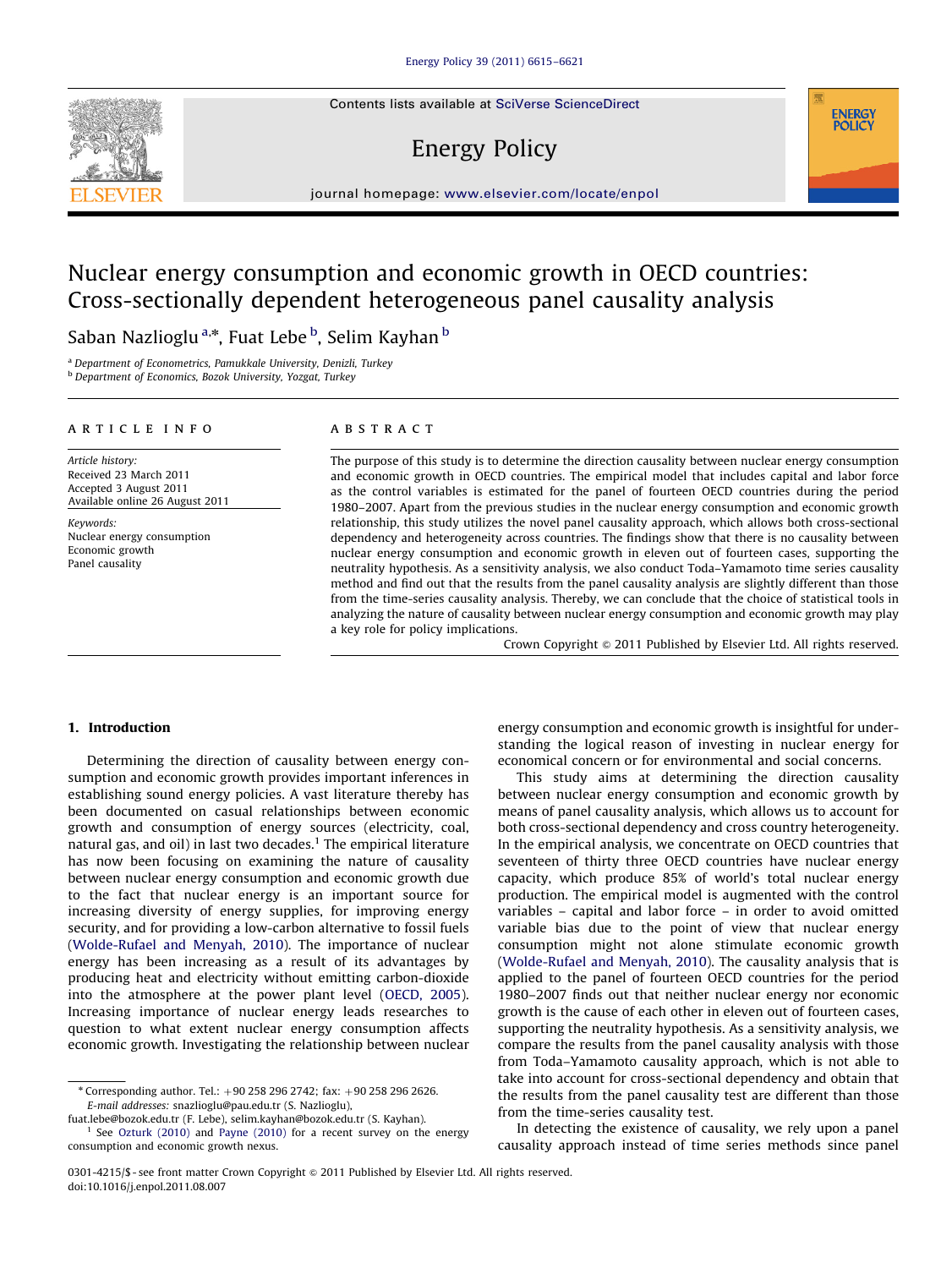Contents lists available at [SciVerse ScienceDirect](www.elsevier.com/locate/enpol)

# Energy Policy



# Nuclear energy consumption and economic growth in OECD countries: Cross-sectionally dependent heterogeneous panel causality analysis

Saban Nazlioglu <sup>a,</sup>\*, Fuat Lebe <sup>b</sup>, Selim Kayhan <sup>b</sup>

<sup>a</sup> Department of Econometrics, Pamukkale University, Denizli, Turkey

<sup>b</sup> Department of Economics, Bozok University, Yozgat, Turkey

#### article info

Article history: Received 23 March 2011 Accepted 3 August 2011 Available online 26 August 2011

Keywords: Nuclear energy consumption Economic growth Panel causality

#### **ABSTRACT**

The purpose of this study is to determine the direction causality between nuclear energy consumption and economic growth in OECD countries. The empirical model that includes capital and labor force as the control variables is estimated for the panel of fourteen OECD countries during the period 1980–2007. Apart from the previous studies in the nuclear energy consumption and economic growth relationship, this study utilizes the novel panel causality approach, which allows both cross-sectional dependency and heterogeneity across countries. The findings show that there is no causality between nuclear energy consumption and economic growth in eleven out of fourteen cases, supporting the neutrality hypothesis. As a sensitivity analysis, we also conduct Toda–Yamamoto time series causality method and find out that the results from the panel causality analysis are slightly different than those from the time-series causality analysis. Thereby, we can conclude that the choice of statistical tools in analyzing the nature of causality between nuclear energy consumption and economic growth may play a key role for policy implications.

Crown Copyright @ 2011 Published by Elsevier Ltd. All rights reserved.

**ENERGY POLICY** 

### 1. Introduction

Determining the direction of causality between energy consumption and economic growth provides important inferences in establishing sound energy policies. A vast literature thereby has been documented on casual relationships between economic growth and consumption of energy sources (electricity, coal, natural gas, and oil) in last two decades.<sup>1</sup> The empirical literature has now been focusing on examining the nature of causality between nuclear energy consumption and economic growth due to the fact that nuclear energy is an important source for increasing diversity of energy supplies, for improving energy security, and for providing a low-carbon alternative to fossil fuels ([Wolde-Rufael and Menyah, 2010](#page--1-0)). The importance of nuclear energy has been increasing as a result of its advantages by producing heat and electricity without emitting carbon-dioxide into the atmosphere at the power plant level ([OECD, 2005\)](#page--1-0). Increasing importance of nuclear energy leads researches to question to what extent nuclear energy consumption affects economic growth. Investigating the relationship between nuclear

[fuat.lebe@bozok.edu.tr \(F. Lebe\),](mailto:fuat.lebe@bozok.edu.tr) [selim.kayhan@bozok.edu.tr \(S. Kayhan\)](mailto:selim.kayhan@bozok.edu.tr). <sup>1</sup> See [Ozturk \(2010\)](#page--1-0) and [Payne \(2010\)](#page--1-0) for a recent survey on the energy energy consumption and economic growth is insightful for understanding the logical reason of investing in nuclear energy for economical concern or for environmental and social concerns.

This study aims at determining the direction causality between nuclear energy consumption and economic growth by means of panel causality analysis, which allows us to account for both cross-sectional dependency and cross country heterogeneity. In the empirical analysis, we concentrate on OECD countries that seventeen of thirty three OECD countries have nuclear energy capacity, which produce 85% of world's total nuclear energy production. The empirical model is augmented with the control variables – capital and labor force – in order to avoid omitted variable bias due to the point of view that nuclear energy consumption might not alone stimulate economic growth ([Wolde-Rufael and Menyah, 2010](#page--1-0)). The causality analysis that is applied to the panel of fourteen OECD countries for the period 1980–2007 finds out that neither nuclear energy nor economic growth is the cause of each other in eleven out of fourteen cases, supporting the neutrality hypothesis. As a sensitivity analysis, we compare the results from the panel causality analysis with those from Toda–Yamamoto causality approach, which is not able to take into account for cross-sectional dependency and obtain that the results from the panel causality test are different than those from the time-series causality test.

In detecting the existence of causality, we rely upon a panel causality approach instead of time series methods since panel



 $*$  Corresponding author. Tel.:  $+90\,258\,296\,2742$ ; fax:  $+90\,258\,296\,2626$ . E-mail addresses: [snazlioglu@pau.edu.tr \(S. Nazlioglu\)](mailto:snazlioglu@pau.edu.tr),

consumption and economic growth nexus.

<sup>0301-4215/\$ -</sup> see front matter Crown Copyright @ 2011 Published by Elsevier Ltd. All rights reserved. doi:[10.1016/j.enpol.2011.08.007](dx.doi.org/10.1016/j.enpol.2011.08.007)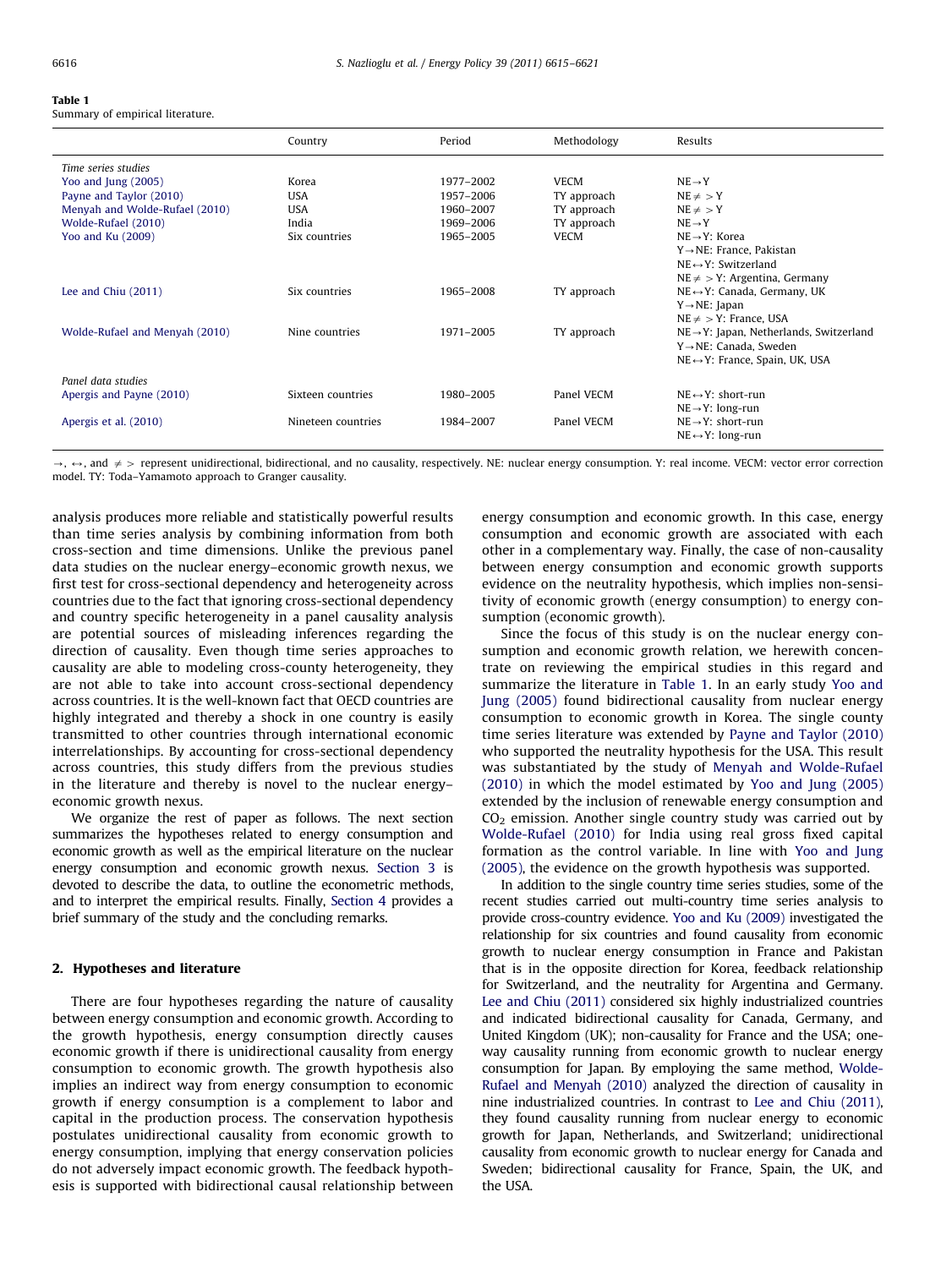#### Table 1

Summary of empirical literature.

|                                | Country            | Period    | Methodology | Results                                              |
|--------------------------------|--------------------|-----------|-------------|------------------------------------------------------|
| Time series studies            |                    |           |             |                                                      |
| Yoo and Jung (2005)            | Korea              | 1977-2002 | <b>VECM</b> | $NE \rightarrow Y$                                   |
| Payne and Taylor (2010)        | <b>USA</b>         | 1957-2006 | TY approach | $NE \neq Y$                                          |
| Menyah and Wolde-Rufael (2010) | <b>USA</b>         | 1960-2007 | TY approach | $NE \neq > Y$                                        |
| Wolde-Rufael (2010)            | India              | 1969-2006 | TY approach | $NE \rightarrow Y$                                   |
| Yoo and Ku (2009)              | Six countries      | 1965-2005 | <b>VECM</b> | $NE \rightarrow Y$ : Korea                           |
|                                |                    |           |             | $Y \rightarrow NE$ : France, Pakistan                |
|                                |                    |           |             | $NE \leftrightarrow Y$ : Switzerland                 |
|                                |                    |           |             | $NE \neq Y$ : Argentina, Germany                     |
| Lee and Chiu $(2011)$          | Six countries      | 1965-2008 | TY approach | $NE \leftrightarrow Y$ : Canada, Germany, UK         |
|                                |                    |           |             | $Y \rightarrow NE$ : Japan                           |
|                                |                    |           |             | $NE \neq Y$ : France, USA                            |
| Wolde-Rufael and Menyah (2010) | Nine countries     | 1971-2005 | TY approach | $NE \rightarrow Y$ : Japan, Netherlands, Switzerland |
|                                |                    |           |             | $Y \rightarrow NE$ : Canada. Sweden                  |
|                                |                    |           |             | $NE \leftrightarrow Y$ : France, Spain, UK, USA      |
| Panel data studies             |                    |           |             |                                                      |
| Apergis and Payne (2010)       | Sixteen countries  | 1980-2005 | Panel VECM  | $NE \leftrightarrow Y$ : short-run                   |
|                                |                    |           |             | $NE \rightarrow Y$ : long-run                        |
| Apergis et al. (2010)          | Nineteen countries | 1984-2007 | Panel VECM  | $NE \rightarrow Y$ : short-run                       |
|                                |                    |           |             | $NE \leftrightarrow Y$ : long-run                    |
|                                |                    |           |             |                                                      |

 $\rightarrow$ ,  $\leftrightarrow$ , and  $\neq$  > represent unidirectional, bidirectional, and no causality, respectively. NE: nuclear energy consumption. Y: real income. VECM: vector error correction model. TY: Toda–Yamamoto approach to Granger causality.

analysis produces more reliable and statistically powerful results than time series analysis by combining information from both cross-section and time dimensions. Unlike the previous panel data studies on the nuclear energy–economic growth nexus, we first test for cross-sectional dependency and heterogeneity across countries due to the fact that ignoring cross-sectional dependency and country specific heterogeneity in a panel causality analysis are potential sources of misleading inferences regarding the direction of causality. Even though time series approaches to causality are able to modeling cross-county heterogeneity, they are not able to take into account cross-sectional dependency across countries. It is the well-known fact that OECD countries are highly integrated and thereby a shock in one country is easily transmitted to other countries through international economic interrelationships. By accounting for cross-sectional dependency across countries, this study differs from the previous studies in the literature and thereby is novel to the nuclear energy– economic growth nexus.

We organize the rest of paper as follows. The next section summarizes the hypotheses related to energy consumption and economic growth as well as the empirical literature on the nuclear energy consumption and economic growth nexus. [Section 3](#page--1-0) is devoted to describe the data, to outline the econometric methods, and to interpret the empirical results. Finally, [Section 4](#page--1-0) provides a brief summary of the study and the concluding remarks.

## 2. Hypotheses and literature

There are four hypotheses regarding the nature of causality between energy consumption and economic growth. According to the growth hypothesis, energy consumption directly causes economic growth if there is unidirectional causality from energy consumption to economic growth. The growth hypothesis also implies an indirect way from energy consumption to economic growth if energy consumption is a complement to labor and capital in the production process. The conservation hypothesis postulates unidirectional causality from economic growth to energy consumption, implying that energy conservation policies do not adversely impact economic growth. The feedback hypothesis is supported with bidirectional causal relationship between energy consumption and economic growth. In this case, energy consumption and economic growth are associated with each other in a complementary way. Finally, the case of non-causality between energy consumption and economic growth supports evidence on the neutrality hypothesis, which implies non-sensitivity of economic growth (energy consumption) to energy consumption (economic growth).

Since the focus of this study is on the nuclear energy consumption and economic growth relation, we herewith concentrate on reviewing the empirical studies in this regard and summarize the literature in Table 1. In an early study [Yoo and](#page--1-0) [Jung \(2005\)](#page--1-0) found bidirectional causality from nuclear energy consumption to economic growth in Korea. The single county time series literature was extended by [Payne and Taylor \(2010\)](#page--1-0) who supported the neutrality hypothesis for the USA. This result was substantiated by the study of [Menyah and Wolde-Rufael](#page--1-0) [\(2010\)](#page--1-0) in which the model estimated by [Yoo and Jung \(2005\)](#page--1-0) extended by the inclusion of renewable energy consumption and  $CO<sub>2</sub>$  emission. Another single country study was carried out by [Wolde-Rufael \(2010\)](#page--1-0) for India using real gross fixed capital formation as the control variable. In line with [Yoo and Jung](#page--1-0) [\(2005\),](#page--1-0) the evidence on the growth hypothesis was supported.

In addition to the single country time series studies, some of the recent studies carried out multi-country time series analysis to provide cross-country evidence. [Yoo and Ku \(2009\)](#page--1-0) investigated the relationship for six countries and found causality from economic growth to nuclear energy consumption in France and Pakistan that is in the opposite direction for Korea, feedback relationship for Switzerland, and the neutrality for Argentina and Germany. [Lee and Chiu \(2011\)](#page--1-0) considered six highly industrialized countries and indicated bidirectional causality for Canada, Germany, and United Kingdom (UK); non-causality for France and the USA; oneway causality running from economic growth to nuclear energy consumption for Japan. By employing the same method, [Wolde-](#page--1-0)[Rufael and Menyah \(2010\)](#page--1-0) analyzed the direction of causality in nine industrialized countries. In contrast to [Lee and Chiu \(2011\),](#page--1-0) they found causality running from nuclear energy to economic growth for Japan, Netherlands, and Switzerland; unidirectional causality from economic growth to nuclear energy for Canada and Sweden; bidirectional causality for France, Spain, the UK, and the USA.